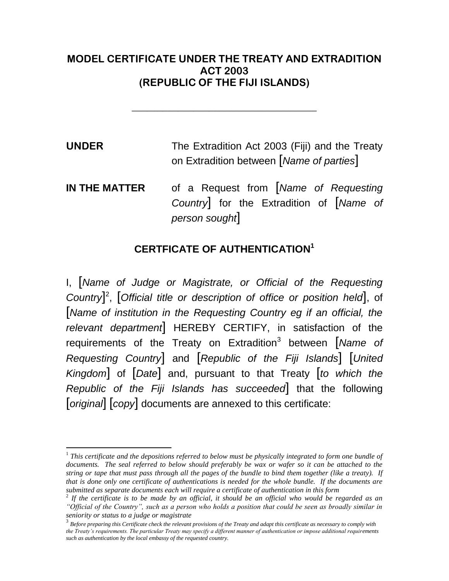## **MODEL CERTIFICATE UNDER THE TREATY AND EXTRADITION ACT 2003 (REPUBLIC OF THE FIJI ISLANDS)**

**\_\_\_\_\_\_\_\_\_\_\_\_\_\_\_\_\_\_\_\_\_\_\_\_\_\_\_\_\_\_\_\_\_\_\_\_**

**UNDER** The Extradition Act 2003 (Fiji) and the Treaty on Extradition between [*Name of parties*]

**IN THE MATTER** of a Request from [*Name of Requesting Country*] for the Extradition of [*Name of person sought*]

## **CERTFICATE OF AUTHENTICATION<sup>1</sup>**

I, [*Name of Judge or Magistrate, or Official of the Requesting Country*] 2 , [*Official title or description of office or position held*], of [*Name of institution in the Requesting Country eg if an official, the relevant department*] HEREBY CERTIFY, in satisfaction of the requirements of the Treaty on Extradition<sup>3</sup> between [Name of *Requesting Country*] and [*Republic of the Fiji Islands*] [*United Kingdom*] of [*Date*] and, pursuant to that Treaty [*to which the Republic of the Fiji Islands has succeeded*] that the following [*original*] [*copy*] documents are annexed to this certificate:

 $\overline{a}$ 

<sup>&</sup>lt;sup>1</sup> This certificate and the depositions referred to below must be physically integrated to form one bundle of *documents. The seal referred to below should preferably be wax or wafer so it can be attached to the string or tape that must pass through all the pages of the bundle to bind them together (like a treaty). If that is done only one certificate of authentications is needed for the whole bundle. If the documents are submitted as separate documents each will require a certificate of authentication in this form*

<sup>2</sup> *If the certificate is to be made by an official, it should be an official who would be regarded as an "Official of the Country", such as a person who holds a position that could be seen as broadly similar in seniority or status to a judge or magistrate*

<sup>3</sup> *Before preparing this Certificate check the relevant provisions of the Treaty and adapt this certificate as necessary to comply with the Treaty's requirements. The particular Treaty may specify a different manner of authentication or impose additional requirements such as authentication by the local embassy of the requested country.*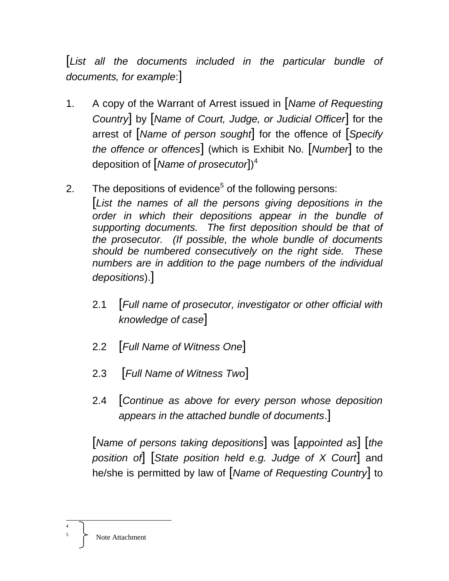[*List all the documents included in the particular bundle of documents, for example*:]

- 1. A copy of the Warrant of Arrest issued in [*Name of Requesting Country*] by [*Name of Court, Judge, or Judicial Officer*] for the arrest of [*Name of person sought*] for the offence of [*Specify the offence or offences*] (which is Exhibit No. [*Number*] to the deposition of [*Name of prosecutor*]) 4
- 2. The depositions of evidence<sup>5</sup> of the following persons: [*List the names of all the persons giving depositions in the order in which their depositions appear in the bundle of supporting documents. The first deposition should be that of the prosecutor. (If possible, the whole bundle of documents should be numbered consecutively on the right side. These numbers are in addition to the page numbers of the individual depositions*).]
	- 2.1 [*Full name of prosecutor, investigator or other official with knowledge of case*]
	- 2.2 [*Full Name of Witness One*]
	- 2.3 [*Full Name of Witness Two*]
	- 2.4 [*Continue as above for every person whose deposition appears in the attached bundle of documents*.]

[*Name of persons taking depositions*] was [*appointed as*] [*the position of*] [*State position held e.g. Judge of X Court*] and he/she is permitted by law of [*Name of Requesting Country*] to

 $\overline{a}$ 4 5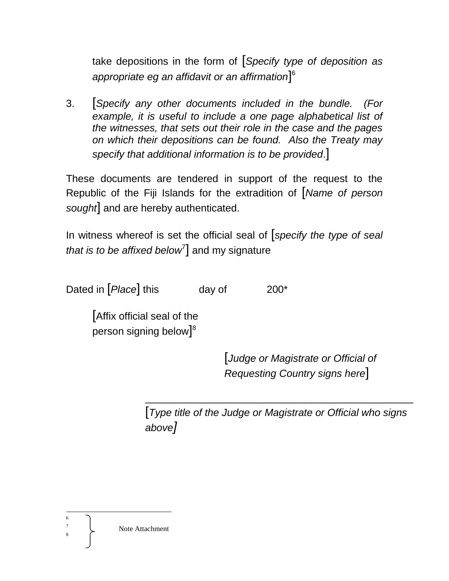take depositions in the form of [*Specify type of deposition as appropriate eg an affidavit or an affirmation*] 6

3. [*Specify any other documents included in the bundle. (For example, it is useful to include a one page alphabetical list of the witnesses, that sets out their role in the case and the pages on which their depositions can be found. Also the Treaty may specify that additional information is to be provided*.]

These documents are tendered in support of the request to the Republic of the Fiji Islands for the extradition of [*Name of person sought*] and are hereby authenticated.

In witness whereof is set the official seal of [*specify the type of seal*  that is to be affixed below<sup>7</sup>] and my signature

Dated in [*Place*] this day of 200<sup>\*</sup>

[Affix official seal of the person signing below $]^8$ 

> [*Judge or Magistrate or Official of Requesting Country signs here*]

[*Type title of the Judge or Magistrate or Official who signs above]*

\_\_\_\_\_\_\_\_\_\_\_\_\_\_\_\_\_\_\_\_\_\_\_\_\_\_\_\_\_\_\_\_\_\_\_\_\_\_\_\_\_\_\_\_\_\_\_

 $\overline{a}$ 6

8